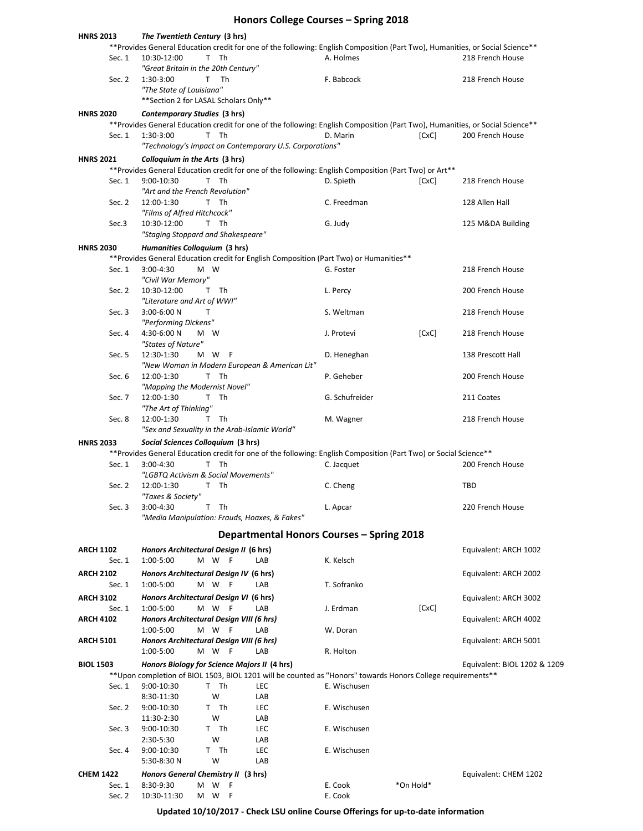## **Honors College Courses – Spring 2018**

| <b>HNRS 2013</b> | The Twentieth Century (3 hrs)                                                                                                                                                               |                                           |                              |
|------------------|---------------------------------------------------------------------------------------------------------------------------------------------------------------------------------------------|-------------------------------------------|------------------------------|
| Sec. 1           | **Provides General Education credit for one of the following: English Composition (Part Two), Humanities, or Social Science**<br>10:30-12:00<br>T Th<br>"Great Britain in the 20th Century" | A. Holmes                                 | 218 French House             |
| Sec. 2           | 1:30-3:00<br>T Th<br>"The State of Louisiana"                                                                                                                                               | F. Babcock                                | 218 French House             |
|                  | ** Section 2 for LASAL Scholars Only**                                                                                                                                                      |                                           |                              |
| <b>HNRS 2020</b> | Contemporary Studies (3 hrs)                                                                                                                                                                |                                           |                              |
|                  | **Provides General Education credit for one of the following: English Composition (Part Two), Humanities, or Social Science**                                                               |                                           |                              |
| Sec. 1           | 1:30-3:00<br>T Th                                                                                                                                                                           | D. Marin                                  | [CxC]<br>200 French House    |
|                  | "Technology's Impact on Contemporary U.S. Corporations"                                                                                                                                     |                                           |                              |
| <b>HNRS 2021</b> | Colloquium in the Arts (3 hrs)                                                                                                                                                              |                                           |                              |
|                  |                                                                                                                                                                                             |                                           |                              |
|                  | ** Provides General Education credit for one of the following: English Composition (Part Two) or Art**                                                                                      |                                           |                              |
| Sec. 1           | 9:00-10:30<br>T Th                                                                                                                                                                          | D. Spieth                                 | [CxC]<br>218 French House    |
| Sec. 2           | "Art and the French Revolution"<br>12:00-1:30<br>T Th                                                                                                                                       | C. Freedman                               | 128 Allen Hall               |
|                  | "Films of Alfred Hitchcock"                                                                                                                                                                 |                                           |                              |
|                  | T Th                                                                                                                                                                                        |                                           |                              |
| Sec.3            | 10:30-12:00                                                                                                                                                                                 | G. Judy                                   | 125 M&DA Building            |
|                  | "Staging Stoppard and Shakespeare"                                                                                                                                                          |                                           |                              |
| <b>HNRS 2030</b> | Humanities Colloquium (3 hrs)                                                                                                                                                               |                                           |                              |
|                  | **Provides General Education credit for English Composition (Part Two) or Humanities**                                                                                                      |                                           |                              |
| Sec. 1           | 3:00-4:30<br>M W                                                                                                                                                                            | G. Foster                                 | 218 French House             |
|                  | "Civil War Memory"                                                                                                                                                                          |                                           |                              |
| Sec. 2           | T Th<br>10:30-12:00                                                                                                                                                                         | L. Percy                                  | 200 French House             |
|                  | "Literature and Art of WWI"                                                                                                                                                                 |                                           |                              |
| Sec. 3           | 3:00-6:00 N<br>Т                                                                                                                                                                            | S. Weltman                                | 218 French House             |
|                  | "Performing Dickens"                                                                                                                                                                        |                                           |                              |
| Sec. 4           | 4:30-6:00 N<br>M W                                                                                                                                                                          | J. Protevi                                | [CxC]<br>218 French House    |
|                  | "States of Nature"                                                                                                                                                                          |                                           |                              |
| Sec. 5           | 12:30-1:30<br>M W F                                                                                                                                                                         | D. Heneghan                               | 138 Prescott Hall            |
|                  | "New Woman in Modern European & American Lit"                                                                                                                                               |                                           |                              |
| Sec. 6           | 12:00-1:30<br>T Th                                                                                                                                                                          | P. Geheber                                | 200 French House             |
|                  | "Mapping the Modernist Novel"                                                                                                                                                               |                                           |                              |
| Sec. 7           | 12:00-1:30<br>T<br>Th                                                                                                                                                                       | G. Schufreider                            | 211 Coates                   |
|                  | "The Art of Thinking"                                                                                                                                                                       |                                           |                              |
| Sec. 8           | 12:00-1:30<br>T Th                                                                                                                                                                          | M. Wagner                                 | 218 French House             |
|                  | "Sex and Sexuality in the Arab-Islamic World"                                                                                                                                               |                                           |                              |
| <b>HNRS 2033</b> | Social Sciences Colloquium (3 hrs)                                                                                                                                                          |                                           |                              |
|                  | **Provides General Education credit for one of the following: English Composition (Part Two) or Social Science**                                                                            |                                           |                              |
| Sec. 1           | 3:00-4:30<br>T Th                                                                                                                                                                           | C. Jacquet                                | 200 French House             |
|                  | "LGBTQ Activism & Social Movements"                                                                                                                                                         |                                           |                              |
| Sec. 2           | 12:00-1:30<br>T Th                                                                                                                                                                          | C. Cheng                                  | <b>TBD</b>                   |
|                  | "Taxes & Society"                                                                                                                                                                           |                                           |                              |
| Sec. 3           | 3:00-4:30<br>T Th                                                                                                                                                                           | L. Apcar                                  | 220 French House             |
|                  | "Media Manipulation: Frauds, Hoaxes, & Fakes"                                                                                                                                               |                                           |                              |
|                  |                                                                                                                                                                                             | Departmental Honors Courses - Spring 2018 |                              |
|                  |                                                                                                                                                                                             |                                           |                              |
| <b>ARCH 1102</b> | Honors Architectural Design II (6 hrs)                                                                                                                                                      |                                           | Equivalent: ARCH 1002        |
| Sec. 1           | 1:00-5:00<br>M W F<br>LAB                                                                                                                                                                   | K. Kelsch                                 |                              |
| <b>ARCH 2102</b> | Honors Architectural Design IV (6 hrs)                                                                                                                                                      |                                           | Equivalent: ARCH 2002        |
| Sec. 1           | 1:00-5:00<br>M W F<br>LAB                                                                                                                                                                   | T. Sofranko                               |                              |
| <b>ARCH 3102</b> | Honors Architectural Design VI (6 hrs)                                                                                                                                                      |                                           | Equivalent: ARCH 3002        |
| Sec. 1           | M W F<br>1:00-5:00<br>LAB                                                                                                                                                                   | J. Erdman                                 | [CxC]                        |
| <b>ARCH 4102</b> | Honors Architectural Design VIII (6 hrs)                                                                                                                                                    |                                           | Equivalent: ARCH 4002        |
|                  | M W F<br>1:00-5:00<br>LAB                                                                                                                                                                   | W. Doran                                  |                              |
| <b>ARCH 5101</b> | Honors Architectural Design VIII (6 hrs)                                                                                                                                                    |                                           | Equivalent: ARCH 5001        |
|                  | M W F<br>1:00-5:00<br>LAB                                                                                                                                                                   | R. Holton                                 |                              |
|                  |                                                                                                                                                                                             |                                           |                              |
| <b>BIOL 1503</b> | Honors Biology for Science Majors II (4 hrs)                                                                                                                                                |                                           | Equivalent: BIOL 1202 & 1209 |
|                  | ** Upon completion of BIOL 1503, BIOL 1201 will be counted as "Honors" towards Honors College requirements**                                                                                |                                           |                              |
| Sec. 1           | 9:00-10:30<br>T Th<br>LEC<br>W<br>8:30-11:30<br>LAB                                                                                                                                         | E. Wischusen                              |                              |
| Sec. 2           | T Th                                                                                                                                                                                        | E. Wischusen                              |                              |
|                  | 9:00-10:30<br>LEC                                                                                                                                                                           |                                           |                              |
|                  | W<br>11:30-2:30<br>LAB                                                                                                                                                                      |                                           |                              |
| Sec. 3           | 9:00-10:30<br>LEC<br>T Th                                                                                                                                                                   | E. Wischusen                              |                              |
|                  | W<br>2:30-5:30<br>LAB                                                                                                                                                                       |                                           |                              |
| Sec. 4           | T Th<br>LEC<br>9:00-10:30<br>W<br>LAB                                                                                                                                                       | E. Wischusen                              |                              |
|                  | 5:30-8:30 N                                                                                                                                                                                 |                                           |                              |
| <b>CHEM 1422</b> | Honors General Chemistry II (3 hrs)                                                                                                                                                         |                                           | Equivalent: CHEM 1202        |
| Sec. 1           | 8:30-9:30<br>W<br>- F<br>м                                                                                                                                                                  | E. Cook<br>*On Hold*                      |                              |
| Sec. 2           | 10:30-11:30<br>M W F                                                                                                                                                                        | E. Cook                                   |                              |